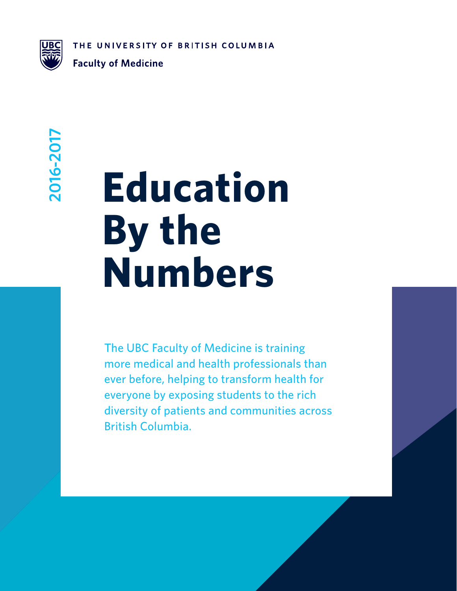THE UNIVERSITY OF BRITISH COLUMBIA



**Faculty of Medicine** 

## 2016-2017 **2016-2017**

# **Education By the Numbers**

The UBC Faculty of Medicine is training more medical and health professionals than ever before, helping to transform health for everyone by exposing students to the rich diversity of patients and communities across British Columbia.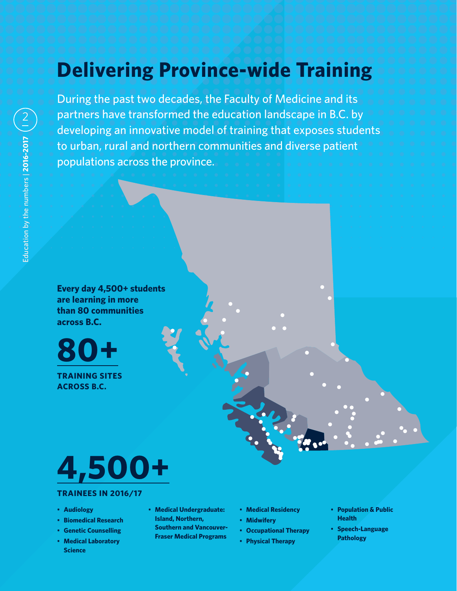## **Delivering Province-wide Training**

During the past two decades, the Faculty of Medicine and its partners have transformed the education landscape in B.C. by developing an innovative model of training that exposes students to urban, rural and northern communities and diverse patient populations across the province.

**Every day 4,500+ students are learning in more than 80 communities across B.C.**

**80+**

**TRAINING SITES ACROSS B.C.**



#### **TRAINEES IN 2016/17**

- **Audiology**
- **Biomedical Research**
- **Genetic Counselling**
- **Medical Laboratory Science**
- **Medical Undergraduate: Island, Northern, Southern and Vancouver-Fraser Medical Programs**
- **Medical Residency**
- **Midwifery**
- **Occupational Therapy**
- **Physical Therapy**
- **Population & Public Health**
- **Speech-Language Pathology**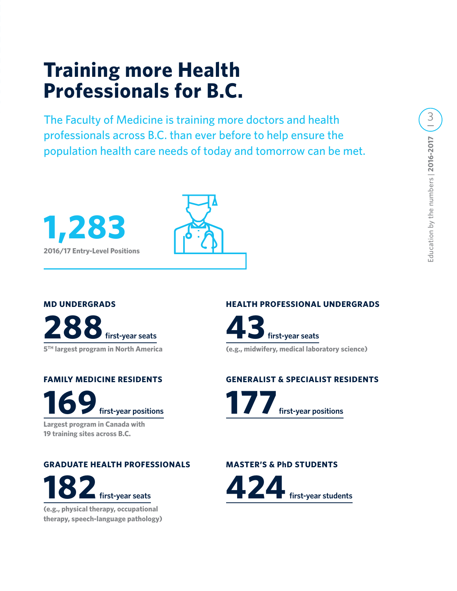### **Training more Health Professionals for B.C.**

The Faculty of Medicine is training more doctors and health professionals across B.C. than ever before to help ensure the population health care needs of today and tomorrow can be met.





#### **MD UNDERGRADS**

**288 first-year seats 5TH largest program in North America**

**FAMILY MEDICINE RESIDENTS 169 first-year positions Largest program in Canada with 19 training sites across B.C.**

**GRADUATE HEALTH PROFESSIONALS 182 first-year seats**

**(e.g., physical therapy, occupational therapy, speech-language pathology)** 

#### **HEALTH PROFESSIONAL UNDERGRADS**



#### **GENERALIST & SPECIALIST RESIDENTS**



#### **MASTER'S & PhD STUDENTS**